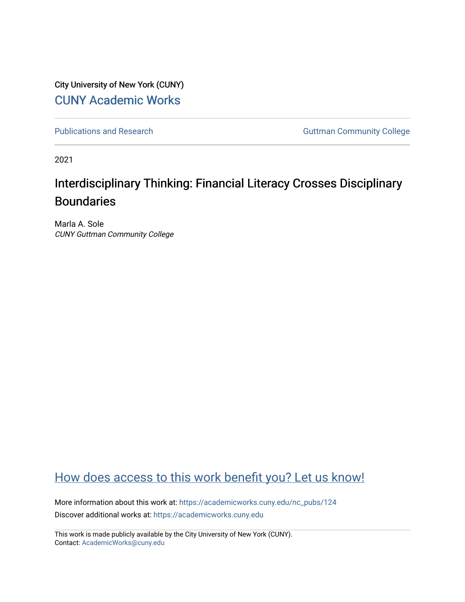City University of New York (CUNY) [CUNY Academic Works](https://academicworks.cuny.edu/) 

[Publications and Research](https://academicworks.cuny.edu/nc_pubs) **Guttman Community College** 

2021

# Interdisciplinary Thinking: Financial Literacy Crosses Disciplinary Boundaries

Marla A. Sole CUNY Guttman Community College

## [How does access to this work benefit you? Let us know!](http://ols.cuny.edu/academicworks/?ref=https://academicworks.cuny.edu/nc_pubs/124)

More information about this work at: [https://academicworks.cuny.edu/nc\\_pubs/124](https://academicworks.cuny.edu/nc_pubs/124) Discover additional works at: [https://academicworks.cuny.edu](https://academicworks.cuny.edu/?)

This work is made publicly available by the City University of New York (CUNY). Contact: [AcademicWorks@cuny.edu](mailto:AcademicWorks@cuny.edu)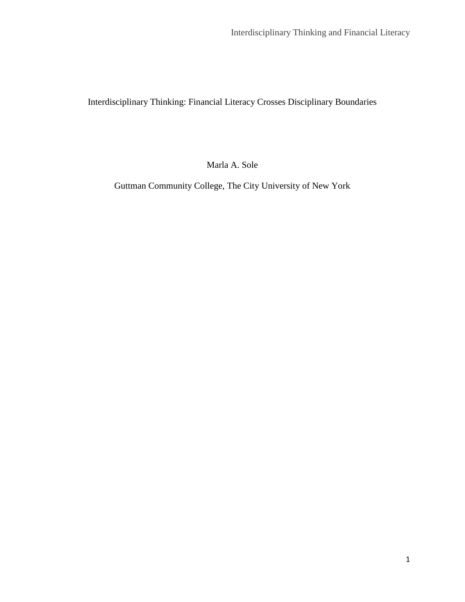Interdisciplinary Thinking: Financial Literacy Crosses Disciplinary Boundaries

Marla A. Sole

Guttman Community College, The City University of New York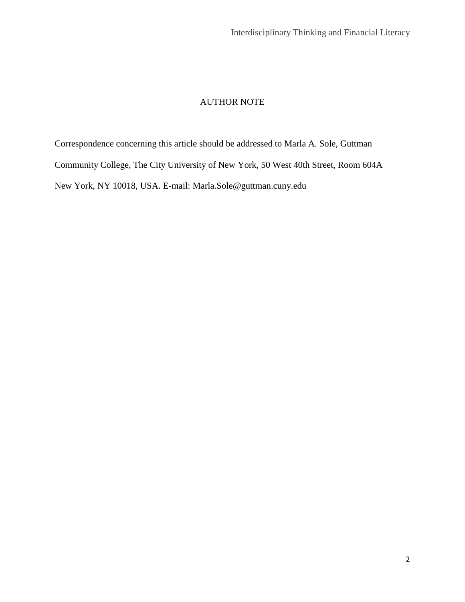## AUTHOR NOTE

Correspondence concerning this article should be addressed to Marla A. Sole, Guttman Community College, The City University of New York, 50 West 40th Street, Room 604A New York, NY 10018, USA. E-mail: [Marla.Sole@guttman.cuny.edu](mailto:Marla.Sole@guttman.cuny.edu)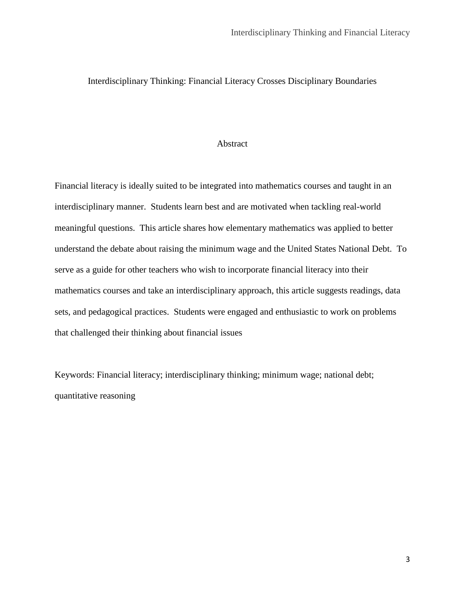## Interdisciplinary Thinking: Financial Literacy Crosses Disciplinary Boundaries

## Abstract

Financial literacy is ideally suited to be integrated into mathematics courses and taught in an interdisciplinary manner. Students learn best and are motivated when tackling real-world meaningful questions. This article shares how elementary mathematics was applied to better understand the debate about raising the minimum wage and the United States National Debt. To serve as a guide for other teachers who wish to incorporate financial literacy into their mathematics courses and take an interdisciplinary approach, this article suggests readings, data sets, and pedagogical practices. Students were engaged and enthusiastic to work on problems that challenged their thinking about financial issues

Keywords: Financial literacy; interdisciplinary thinking; minimum wage; national debt; quantitative reasoning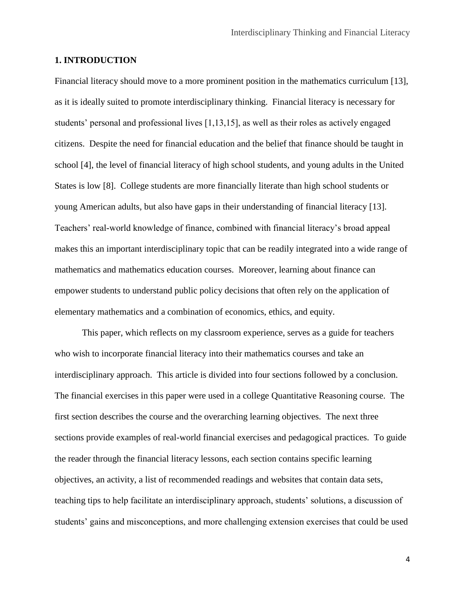## **1. INTRODUCTION**

Financial literacy should move to a more prominent position in the mathematics curriculum [13], as it is ideally suited to promote interdisciplinary thinking. Financial literacy is necessary for students' personal and professional lives [1,13,15], as well as their roles as actively engaged citizens. Despite the need for financial education and the belief that finance should be taught in school [4], the level of financial literacy of high school students, and young adults in the United States is low [8]. College students are more financially literate than high school students or young American adults, but also have gaps in their understanding of financial literacy [13]. Teachers' real-world knowledge of finance, combined with financial literacy's broad appeal makes this an important interdisciplinary topic that can be readily integrated into a wide range of mathematics and mathematics education courses. Moreover, learning about finance can empower students to understand public policy decisions that often rely on the application of elementary mathematics and a combination of economics, ethics, and equity.

This paper, which reflects on my classroom experience, serves as a guide for teachers who wish to incorporate financial literacy into their mathematics courses and take an interdisciplinary approach. This article is divided into four sections followed by a conclusion. The financial exercises in this paper were used in a college Quantitative Reasoning course. The first section describes the course and the overarching learning objectives. The next three sections provide examples of real-world financial exercises and pedagogical practices. To guide the reader through the financial literacy lessons, each section contains specific learning objectives, an activity, a list of recommended readings and websites that contain data sets, teaching tips to help facilitate an interdisciplinary approach, students' solutions, a discussion of students' gains and misconceptions, and more challenging extension exercises that could be used

4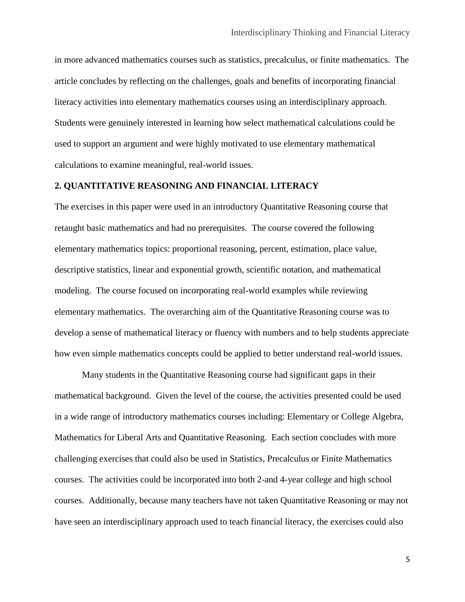in more advanced mathematics courses such as statistics, precalculus, or finite mathematics. The article concludes by reflecting on the challenges, goals and benefits of incorporating financial literacy activities into elementary mathematics courses using an interdisciplinary approach. Students were genuinely interested in learning how select mathematical calculations could be used to support an argument and were highly motivated to use elementary mathematical calculations to examine meaningful, real-world issues.

## **2. QUANTITATIVE REASONING AND FINANCIAL LITERACY**

The exercises in this paper were used in an introductory Quantitative Reasoning course that retaught basic mathematics and had no prerequisites. The course covered the following elementary mathematics topics: proportional reasoning, percent, estimation, place value, descriptive statistics, linear and exponential growth, scientific notation, and mathematical modeling. The course focused on incorporating real-world examples while reviewing elementary mathematics. The overarching aim of the Quantitative Reasoning course was to develop a sense of mathematical literacy or fluency with numbers and to help students appreciate how even simple mathematics concepts could be applied to better understand real-world issues.

Many students in the Quantitative Reasoning course had significant gaps in their mathematical background. Given the level of the course, the activities presented could be used in a wide range of introductory mathematics courses including: Elementary or College Algebra, Mathematics for Liberal Arts and Quantitative Reasoning. Each section concludes with more challenging exercises that could also be used in Statistics, Precalculus or Finite Mathematics courses. The activities could be incorporated into both 2-and 4-year college and high school courses. Additionally, because many teachers have not taken Quantitative Reasoning or may not have seen an interdisciplinary approach used to teach financial literacy, the exercises could also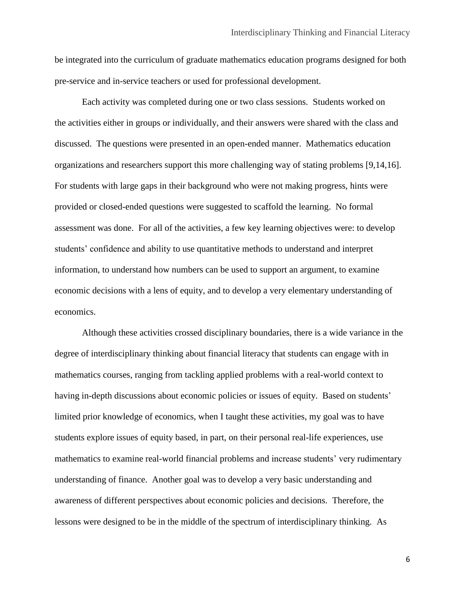be integrated into the curriculum of graduate mathematics education programs designed for both pre-service and in-service teachers or used for professional development.

Each activity was completed during one or two class sessions. Students worked on the activities either in groups or individually, and their answers were shared with the class and discussed. The questions were presented in an open-ended manner. Mathematics education organizations and researchers support this more challenging way of stating problems [9,14,16]. For students with large gaps in their background who were not making progress, hints were provided or closed-ended questions were suggested to scaffold the learning. No formal assessment was done. For all of the activities, a few key learning objectives were: to develop students' confidence and ability to use quantitative methods to understand and interpret information, to understand how numbers can be used to support an argument, to examine economic decisions with a lens of equity, and to develop a very elementary understanding of economics.

Although these activities crossed disciplinary boundaries, there is a wide variance in the degree of interdisciplinary thinking about financial literacy that students can engage with in mathematics courses, ranging from tackling applied problems with a real-world context to having in-depth discussions about economic policies or issues of equity. Based on students' limited prior knowledge of economics, when I taught these activities, my goal was to have students explore issues of equity based, in part, on their personal real-life experiences, use mathematics to examine real-world financial problems and increase students' very rudimentary understanding of finance. Another goal was to develop a very basic understanding and awareness of different perspectives about economic policies and decisions. Therefore, the lessons were designed to be in the middle of the spectrum of interdisciplinary thinking. As

6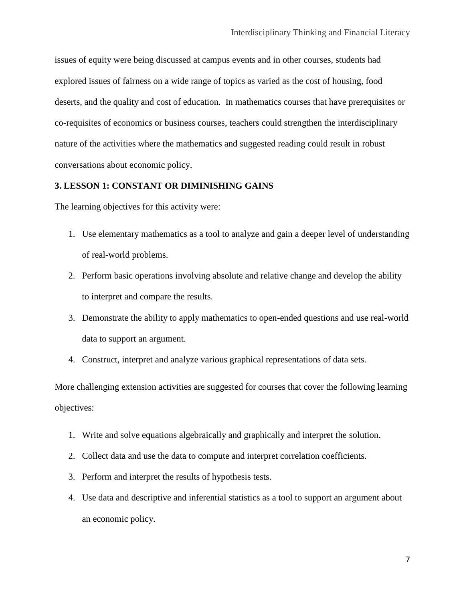issues of equity were being discussed at campus events and in other courses, students had explored issues of fairness on a wide range of topics as varied as the cost of housing, food deserts, and the quality and cost of education. In mathematics courses that have prerequisites or co-requisites of economics or business courses, teachers could strengthen the interdisciplinary nature of the activities where the mathematics and suggested reading could result in robust conversations about economic policy.

## **3. LESSON 1: CONSTANT OR DIMINISHING GAINS**

The learning objectives for this activity were:

- 1. Use elementary mathematics as a tool to analyze and gain a deeper level of understanding of real-world problems.
- 2. Perform basic operations involving absolute and relative change and develop the ability to interpret and compare the results.
- 3. Demonstrate the ability to apply mathematics to open-ended questions and use real-world data to support an argument.
- 4. Construct, interpret and analyze various graphical representations of data sets.

More challenging extension activities are suggested for courses that cover the following learning objectives:

- 1. Write and solve equations algebraically and graphically and interpret the solution.
- 2. Collect data and use the data to compute and interpret correlation coefficients.
- 3. Perform and interpret the results of hypothesis tests.
- 4. Use data and descriptive and inferential statistics as a tool to support an argument about an economic policy.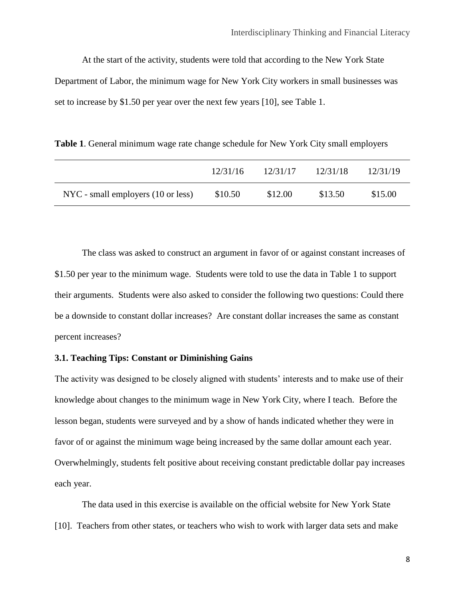At the start of the activity, students were told that according to the New York State Department of Labor, the minimum wage for New York City workers in small businesses was set to increase by \$1.50 per year over the next few years [10], see Table 1.

**Table 1**. General minimum wage rate change schedule for New York City small employers

|                                    | 12/31/16 | 12/31/17 | 12/31/18 | 12/31/19 |
|------------------------------------|----------|----------|----------|----------|
| NYC - small employers (10 or less) | \$10.50  | \$12.00  | \$13.50  | \$15.00  |

The class was asked to construct an argument in favor of or against constant increases of \$1.50 per year to the minimum wage. Students were told to use the data in Table 1 to support their arguments. Students were also asked to consider the following two questions: Could there be a downside to constant dollar increases? Are constant dollar increases the same as constant percent increases?

## **3.1. Teaching Tips: Constant or Diminishing Gains**

The activity was designed to be closely aligned with students' interests and to make use of their knowledge about changes to the minimum wage in New York City, where I teach. Before the lesson began, students were surveyed and by a show of hands indicated whether they were in favor of or against the minimum wage being increased by the same dollar amount each year. Overwhelmingly, students felt positive about receiving constant predictable dollar pay increases each year.

The data used in this exercise is available on the official website for New York State [10]. Teachers from other states, or teachers who wish to work with larger data sets and make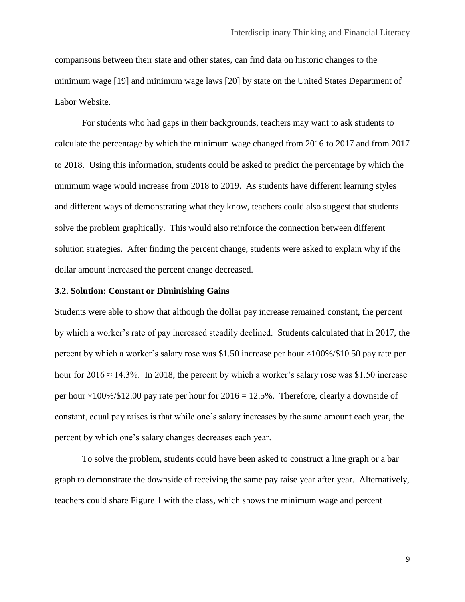comparisons between their state and other states, can find data on historic changes to the minimum wage [19] and minimum wage laws [20] by state on the United States Department of Labor Website.

For students who had gaps in their backgrounds, teachers may want to ask students to calculate the percentage by which the minimum wage changed from 2016 to 2017 and from 2017 to 2018. Using this information, students could be asked to predict the percentage by which the minimum wage would increase from 2018 to 2019. As students have different learning styles and different ways of demonstrating what they know, teachers could also suggest that students solve the problem graphically. This would also reinforce the connection between different solution strategies. After finding the percent change, students were asked to explain why if the dollar amount increased the percent change decreased.

#### **3.2. Solution: Constant or Diminishing Gains**

Students were able to show that although the dollar pay increase remained constant, the percent by which a worker's rate of pay increased steadily declined. Students calculated that in 2017, the percent by which a worker's salary rose was \$1.50 increase per hour  $\times$ 100%/\$10.50 pay rate per hour for 2016  $\approx$  14.3%. In 2018, the percent by which a worker's salary rose was \$1.50 increase per hour  $\times100\%/12.00$  pay rate per hour for  $2016 = 12.5\%$ . Therefore, clearly a downside of constant, equal pay raises is that while one's salary increases by the same amount each year, the percent by which one's salary changes decreases each year.

To solve the problem, students could have been asked to construct a line graph or a bar graph to demonstrate the downside of receiving the same pay raise year after year. Alternatively, teachers could share Figure 1 with the class, which shows the minimum wage and percent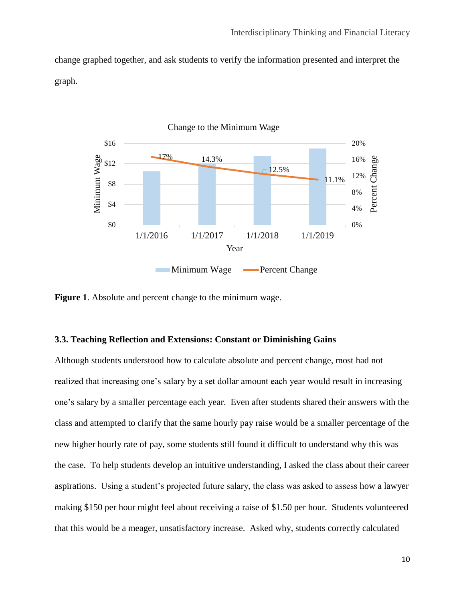change graphed together, and ask students to verify the information presented and interpret the graph.



**Figure 1**. Absolute and percent change to the minimum wage.

## **3.3. Teaching Reflection and Extensions: Constant or Diminishing Gains**

Although students understood how to calculate absolute and percent change, most had not realized that increasing one's salary by a set dollar amount each year would result in increasing one's salary by a smaller percentage each year. Even after students shared their answers with the class and attempted to clarify that the same hourly pay raise would be a smaller percentage of the new higher hourly rate of pay, some students still found it difficult to understand why this was the case. To help students develop an intuitive understanding, I asked the class about their career aspirations. Using a student's projected future salary, the class was asked to assess how a lawyer making \$150 per hour might feel about receiving a raise of \$1.50 per hour. Students volunteered that this would be a meager, unsatisfactory increase. Asked why, students correctly calculated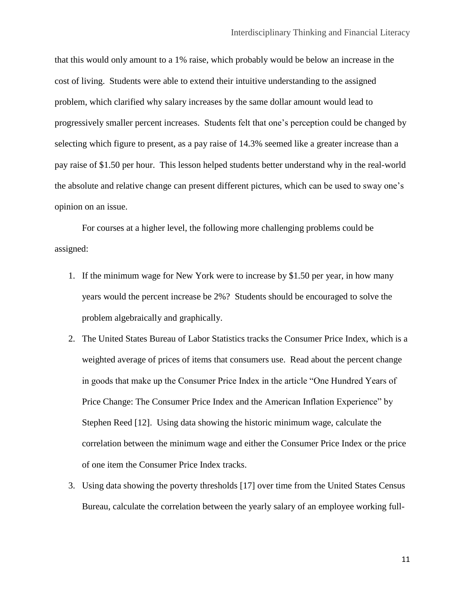that this would only amount to a 1% raise, which probably would be below an increase in the cost of living. Students were able to extend their intuitive understanding to the assigned problem, which clarified why salary increases by the same dollar amount would lead to progressively smaller percent increases. Students felt that one's perception could be changed by selecting which figure to present, as a pay raise of 14.3% seemed like a greater increase than a pay raise of \$1.50 per hour. This lesson helped students better understand why in the real-world the absolute and relative change can present different pictures, which can be used to sway one's opinion on an issue.

For courses at a higher level, the following more challenging problems could be assigned:

- 1. If the minimum wage for New York were to increase by \$1.50 per year, in how many years would the percent increase be 2%? Students should be encouraged to solve the problem algebraically and graphically.
- 2. The United States Bureau of Labor Statistics tracks the Consumer Price Index, which is a weighted average of prices of items that consumers use. Read about the percent change in goods that make up the Consumer Price Index in the article "One Hundred Years of Price Change: The Consumer Price Index and the American Inflation Experience" by Stephen Reed [12]. Using data showing the historic minimum wage, calculate the correlation between the minimum wage and either the Consumer Price Index or the price of one item the Consumer Price Index tracks.
- 3. Using data showing the poverty thresholds [17] over time from the United States Census Bureau, calculate the correlation between the yearly salary of an employee working full-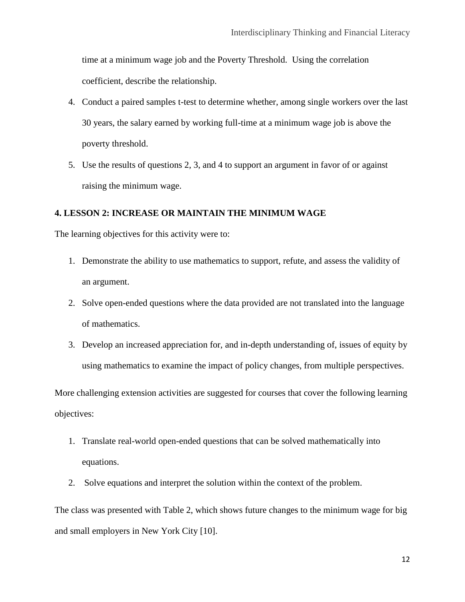time at a minimum wage job and the Poverty Threshold. Using the correlation coefficient, describe the relationship.

- 4. Conduct a paired samples t-test to determine whether, among single workers over the last 30 years, the salary earned by working full-time at a minimum wage job is above the poverty threshold.
- 5. Use the results of questions 2, 3, and 4 to support an argument in favor of or against raising the minimum wage.

## **4. LESSON 2: INCREASE OR MAINTAIN THE MINIMUM WAGE**

The learning objectives for this activity were to:

- 1. Demonstrate the ability to use mathematics to support, refute, and assess the validity of an argument.
- 2. Solve open-ended questions where the data provided are not translated into the language of mathematics.
- 3. Develop an increased appreciation for, and in-depth understanding of, issues of equity by using mathematics to examine the impact of policy changes, from multiple perspectives.

More challenging extension activities are suggested for courses that cover the following learning objectives:

- 1. Translate real-world open-ended questions that can be solved mathematically into equations.
- 2. Solve equations and interpret the solution within the context of the problem.

The class was presented with Table 2, which shows future changes to the minimum wage for big and small employers in New York City [10].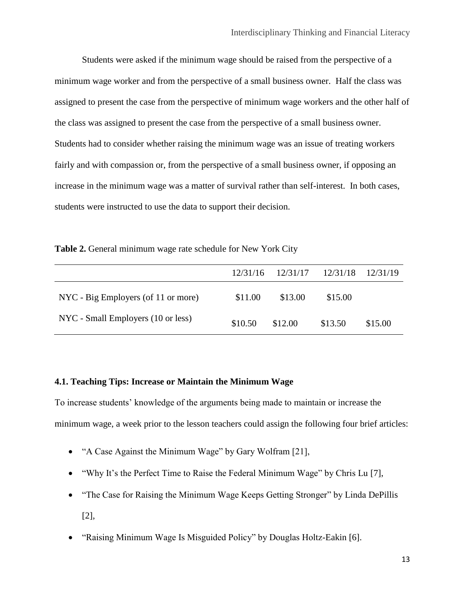Students were asked if the minimum wage should be raised from the perspective of a minimum wage worker and from the perspective of a small business owner. Half the class was assigned to present the case from the perspective of minimum wage workers and the other half of the class was assigned to present the case from the perspective of a small business owner. Students had to consider whether raising the minimum wage was an issue of treating workers fairly and with compassion or, from the perspective of a small business owner, if opposing an increase in the minimum wage was a matter of survival rather than self-interest. In both cases, students were instructed to use the data to support their decision.

**Table 2.** General minimum wage rate schedule for New York City

|                                     | 12/31/16 | 12/31/17 | 12/31/18 | 12/31/19 |
|-------------------------------------|----------|----------|----------|----------|
| NYC - Big Employers (of 11 or more) | \$11.00  | \$13.00  | \$15.00  |          |
| NYC - Small Employers (10 or less)  | \$10.50  | \$12.00  | \$13.50  | \$15.00  |

## **4.1. Teaching Tips: Increase or Maintain the Minimum Wage**

To increase students' knowledge of the arguments being made to maintain or increase the minimum wage, a week prior to the lesson teachers could assign the following four brief articles:

- "A Case Against the Minimum Wage" by Gary Wolfram [21],
- "Why It's the Perfect Time to Raise the Federal Minimum Wage" by Chris Lu [7],
- "The Case for Raising the Minimum Wage Keeps Getting Stronger" by Linda DePillis [2],
- "Raising Minimum Wage Is Misguided Policy" by Douglas Holtz-Eakin [6].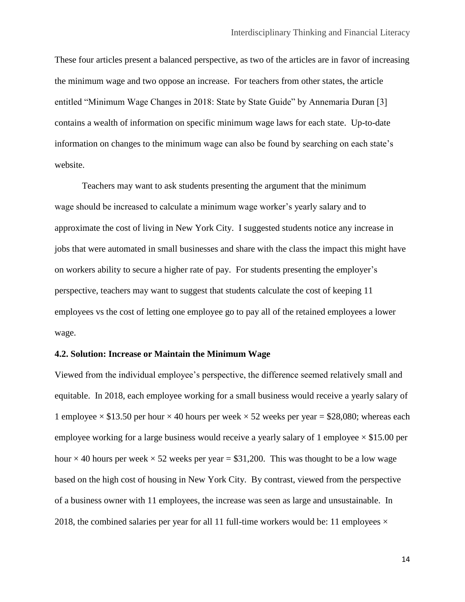These four articles present a balanced perspective, as two of the articles are in favor of increasing the minimum wage and two oppose an increase. For teachers from other states, the article entitled "Minimum Wage Changes in 2018: State by State Guide" by Annemaria Duran [3] contains a wealth of information on specific minimum wage laws for each state. Up-to-date information on changes to the minimum wage can also be found by searching on each state's website.

Teachers may want to ask students presenting the argument that the minimum wage should be increased to calculate a minimum wage worker's yearly salary and to approximate the cost of living in New York City. I suggested students notice any increase in jobs that were automated in small businesses and share with the class the impact this might have on workers ability to secure a higher rate of pay. For students presenting the employer's perspective, teachers may want to suggest that students calculate the cost of keeping 11 employees vs the cost of letting one employee go to pay all of the retained employees a lower wage.

## **4.2. Solution: Increase or Maintain the Minimum Wage**

Viewed from the individual employee's perspective, the difference seemed relatively small and equitable. In 2018, each employee working for a small business would receive a yearly salary of 1 employee  $\times$  \$13.50 per hour  $\times$  40 hours per week  $\times$  52 weeks per year = \$28,080; whereas each employee working for a large business would receive a yearly salary of 1 employee  $\times$  \$15.00 per hour  $\times$  40 hours per week  $\times$  52 weeks per year = \$31,200. This was thought to be a low wage based on the high cost of housing in New York City. By contrast, viewed from the perspective of a business owner with 11 employees, the increase was seen as large and unsustainable. In 2018, the combined salaries per year for all 11 full-time workers would be: 11 employees  $\times$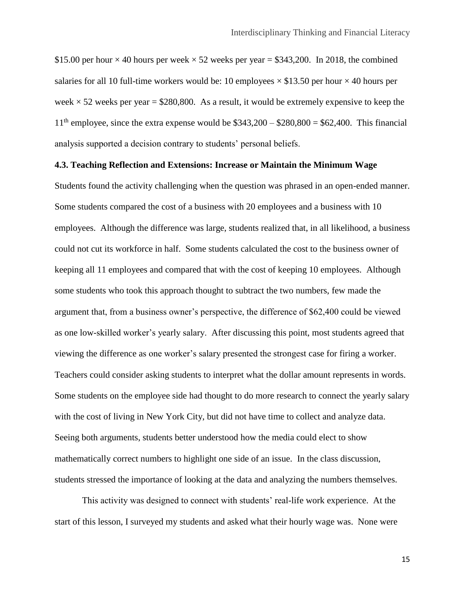\$15.00 per hour  $\times$  40 hours per week  $\times$  52 weeks per year = \$343,200. In 2018, the combined salaries for all 10 full-time workers would be: 10 employees  $\times$  \$13.50 per hour  $\times$  40 hours per week  $\times$  52 weeks per year = \$280,800. As a result, it would be extremely expensive to keep the  $11<sup>th</sup>$  employee, since the extra expense would be \$343,200 – \$280,800 = \$62,400. This financial analysis supported a decision contrary to students' personal beliefs.

## **4.3. Teaching Reflection and Extensions: Increase or Maintain the Minimum Wage**

Students found the activity challenging when the question was phrased in an open-ended manner. Some students compared the cost of a business with 20 employees and a business with 10 employees. Although the difference was large, students realized that, in all likelihood, a business could not cut its workforce in half. Some students calculated the cost to the business owner of keeping all 11 employees and compared that with the cost of keeping 10 employees. Although some students who took this approach thought to subtract the two numbers, few made the argument that, from a business owner's perspective, the difference of \$62,400 could be viewed as one low-skilled worker's yearly salary. After discussing this point, most students agreed that viewing the difference as one worker's salary presented the strongest case for firing a worker. Teachers could consider asking students to interpret what the dollar amount represents in words. Some students on the employee side had thought to do more research to connect the yearly salary with the cost of living in New York City, but did not have time to collect and analyze data. Seeing both arguments, students better understood how the media could elect to show mathematically correct numbers to highlight one side of an issue. In the class discussion, students stressed the importance of looking at the data and analyzing the numbers themselves.

This activity was designed to connect with students' real-life work experience. At the start of this lesson, I surveyed my students and asked what their hourly wage was. None were

15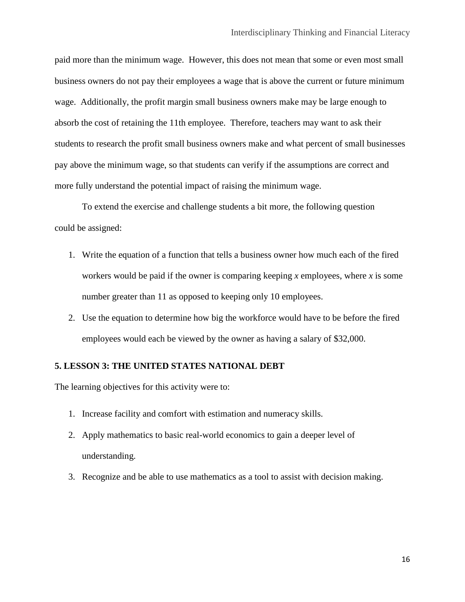paid more than the minimum wage. However, this does not mean that some or even most small business owners do not pay their employees a wage that is above the current or future minimum wage. Additionally, the profit margin small business owners make may be large enough to absorb the cost of retaining the 11th employee. Therefore, teachers may want to ask their students to research the profit small business owners make and what percent of small businesses pay above the minimum wage, so that students can verify if the assumptions are correct and more fully understand the potential impact of raising the minimum wage.

To extend the exercise and challenge students a bit more, the following question could be assigned:

- 1. Write the equation of a function that tells a business owner how much each of the fired workers would be paid if the owner is comparing keeping *x* employees, where *x* is some number greater than 11 as opposed to keeping only 10 employees.
- 2. Use the equation to determine how big the workforce would have to be before the fired employees would each be viewed by the owner as having a salary of \$32,000.

## **5. LESSON 3: THE UNITED STATES NATIONAL DEBT**

The learning objectives for this activity were to:

- 1. Increase facility and comfort with estimation and numeracy skills.
- 2. Apply mathematics to basic real-world economics to gain a deeper level of understanding.
- 3. Recognize and be able to use mathematics as a tool to assist with decision making.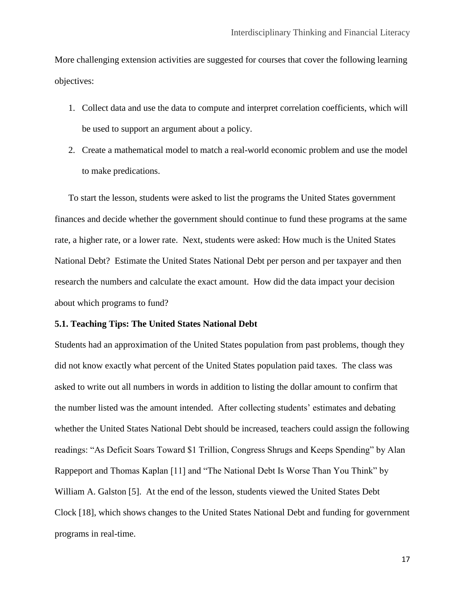More challenging extension activities are suggested for courses that cover the following learning objectives:

- 1. Collect data and use the data to compute and interpret correlation coefficients, which will be used to support an argument about a policy.
- 2. Create a mathematical model to match a real-world economic problem and use the model to make predications.

To start the lesson, students were asked to list the programs the United States government finances and decide whether the government should continue to fund these programs at the same rate, a higher rate, or a lower rate. Next, students were asked: How much is the United States National Debt? Estimate the United States National Debt per person and per taxpayer and then research the numbers and calculate the exact amount. How did the data impact your decision about which programs to fund?

## **5.1. Teaching Tips: The United States National Debt**

Students had an approximation of the United States population from past problems, though they did not know exactly what percent of the United States population paid taxes. The class was asked to write out all numbers in words in addition to listing the dollar amount to confirm that the number listed was the amount intended. After collecting students' estimates and debating whether the United States National Debt should be increased, teachers could assign the following readings: "As Deficit Soars Toward \$1 Trillion, Congress Shrugs and Keeps Spending" by Alan Rappeport and Thomas Kaplan [11] and "The National Debt Is Worse Than You Think" by William A. Galston [5]. At the end of the lesson, students viewed the United States Debt Clock [18], which shows changes to the United States National Debt and funding for government programs in real-time.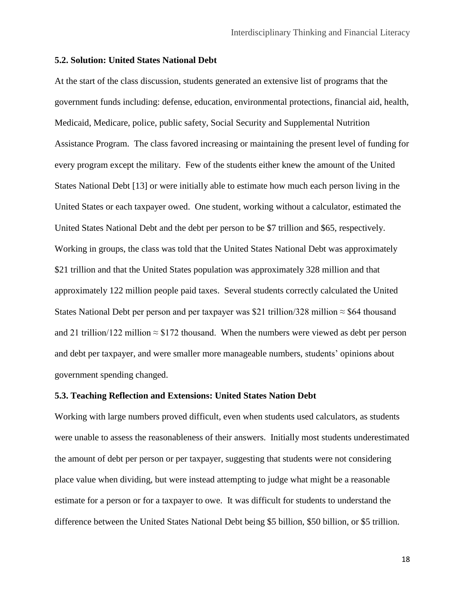## **5.2. Solution: United States National Debt**

At the start of the class discussion, students generated an extensive list of programs that the government funds including: defense, education, environmental protections, financial aid, health, Medicaid, Medicare, police, public safety, Social Security and Supplemental Nutrition Assistance Program. The class favored increasing or maintaining the present level of funding for every program except the military. Few of the students either knew the amount of the United States National Debt [13] or were initially able to estimate how much each person living in the United States or each taxpayer owed. One student, working without a calculator, estimated the United States National Debt and the debt per person to be \$7 trillion and \$65, respectively. Working in groups, the class was told that the United States National Debt was approximately \$21 trillion and that the United States population was approximately 328 million and that approximately 122 million people paid taxes. Several students correctly calculated the United States National Debt per person and per taxpayer was \$21 trillion/328 million  $\approx$  \$64 thousand and 21 trillion/122 million  $\approx$  \$172 thousand. When the numbers were viewed as debt per person and debt per taxpayer, and were smaller more manageable numbers, students' opinions about government spending changed.

#### **5.3. Teaching Reflection and Extensions: United States Nation Debt**

Working with large numbers proved difficult, even when students used calculators, as students were unable to assess the reasonableness of their answers. Initially most students underestimated the amount of debt per person or per taxpayer, suggesting that students were not considering place value when dividing, but were instead attempting to judge what might be a reasonable estimate for a person or for a taxpayer to owe. It was difficult for students to understand the difference between the United States National Debt being \$5 billion, \$50 billion, or \$5 trillion.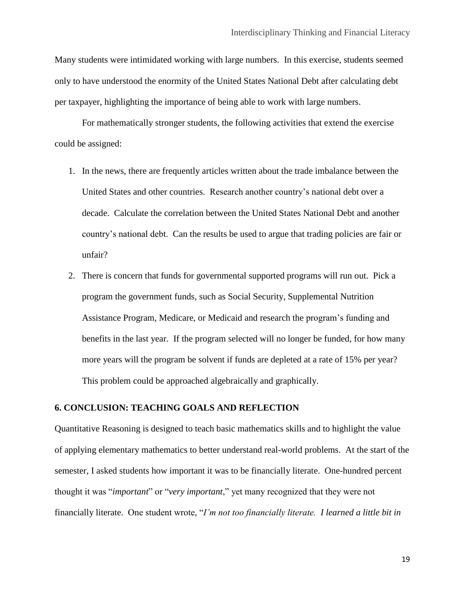Many students were intimidated working with large numbers. In this exercise, students seemed only to have understood the enormity of the United States National Debt after calculating debt per taxpayer, highlighting the importance of being able to work with large numbers.

For mathematically stronger students, the following activities that extend the exercise could be assigned:

- 1. In the news, there are frequently articles written about the trade imbalance between the United States and other countries. Research another country's national debt over a decade. Calculate the correlation between the United States National Debt and another country's national debt. Can the results be used to argue that trading policies are fair or unfair?
- 2. There is concern that funds for governmental supported programs will run out. Pick a program the government funds, such as Social Security, Supplemental Nutrition Assistance Program, Medicare, or Medicaid and research the program's funding and benefits in the last year. If the program selected will no longer be funded, for how many more years will the program be solvent if funds are depleted at a rate of 15% per year? This problem could be approached algebraically and graphically.

#### **6. CONCLUSION: TEACHING GOALS AND REFLECTION**

Quantitative Reasoning is designed to teach basic mathematics skills and to highlight the value of applying elementary mathematics to better understand real-world problems. At the start of the semester, I asked students how important it was to be financially literate. One-hundred percent thought it was "*important*" or "*very important*," yet many recognized that they were not financially literate. One student wrote, "*I'm not too financially literate. I learned a little bit in*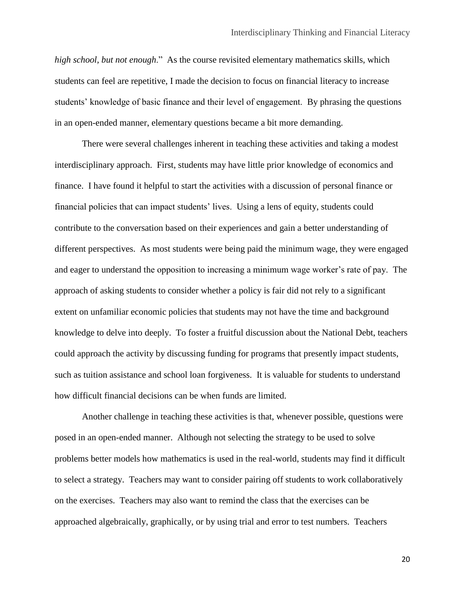*high school, but not enough*." As the course revisited elementary mathematics skills, which students can feel are repetitive, I made the decision to focus on financial literacy to increase students' knowledge of basic finance and their level of engagement. By phrasing the questions in an open-ended manner, elementary questions became a bit more demanding.

There were several challenges inherent in teaching these activities and taking a modest interdisciplinary approach. First, students may have little prior knowledge of economics and finance. I have found it helpful to start the activities with a discussion of personal finance or financial policies that can impact students' lives. Using a lens of equity, students could contribute to the conversation based on their experiences and gain a better understanding of different perspectives. As most students were being paid the minimum wage, they were engaged and eager to understand the opposition to increasing a minimum wage worker's rate of pay. The approach of asking students to consider whether a policy is fair did not rely to a significant extent on unfamiliar economic policies that students may not have the time and background knowledge to delve into deeply. To foster a fruitful discussion about the National Debt, teachers could approach the activity by discussing funding for programs that presently impact students, such as tuition assistance and school loan forgiveness. It is valuable for students to understand how difficult financial decisions can be when funds are limited.

Another challenge in teaching these activities is that, whenever possible, questions were posed in an open-ended manner. Although not selecting the strategy to be used to solve problems better models how mathematics is used in the real-world, students may find it difficult to select a strategy. Teachers may want to consider pairing off students to work collaboratively on the exercises. Teachers may also want to remind the class that the exercises can be approached algebraically, graphically, or by using trial and error to test numbers. Teachers

20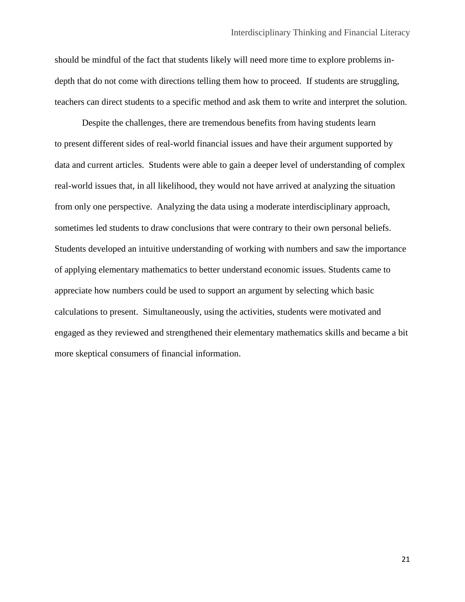should be mindful of the fact that students likely will need more time to explore problems indepth that do not come with directions telling them how to proceed. If students are struggling, teachers can direct students to a specific method and ask them to write and interpret the solution.

Despite the challenges, there are tremendous benefits from having students learn to present different sides of real-world financial issues and have their argument supported by data and current articles. Students were able to gain a deeper level of understanding of complex real-world issues that, in all likelihood, they would not have arrived at analyzing the situation from only one perspective. Analyzing the data using a moderate interdisciplinary approach, sometimes led students to draw conclusions that were contrary to their own personal beliefs. Students developed an intuitive understanding of working with numbers and saw the importance of applying elementary mathematics to better understand economic issues. Students came to appreciate how numbers could be used to support an argument by selecting which basic calculations to present. Simultaneously, using the activities, students were motivated and engaged as they reviewed and strengthened their elementary mathematics skills and became a bit more skeptical consumers of financial information.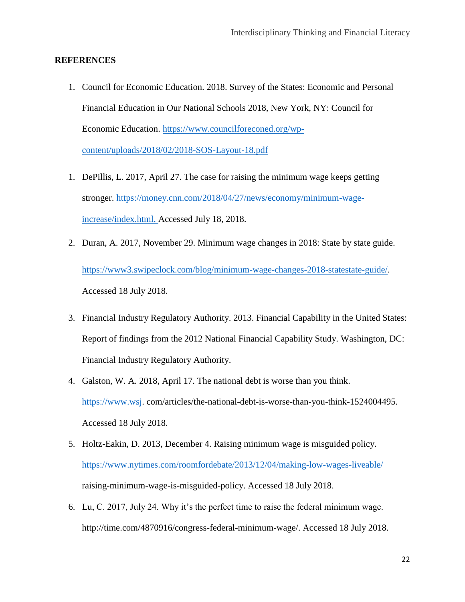## **REFERENCES**

- 1. Council for Economic Education. 2018. Survey of the States: Economic and Personal Financial Education in Our National Schools 2018, New York, NY: Council for Economic Education. [https://www.councilforeconed.org/wp](https://www.councilforeconed.org/wp-content/uploads/2018/02/2018-SOS-Layout-18.pdf)[content/uploads/2018/02/2018-SOS-Layout-18.pdf](https://www.councilforeconed.org/wp-content/uploads/2018/02/2018-SOS-Layout-18.pdf)
- 1. DePillis, L. 2017, April 27. The case for raising the minimum wage keeps getting stronger. [https://money.cnn.com/2018/04/27/news/economy/minimum-wage](https://money.cnn.com/2018/04/27/news/economy/minimum-wage-increase/index.html)[increase/index.html.](https://money.cnn.com/2018/04/27/news/economy/minimum-wage-increase/index.html) Accessed July 18, 2018.
- 2. Duran, A. 2017, November 29. Minimum wage changes in 2018: State by state guide. [https://www3.swipeclock.com/blog/minimum-wage-changes-2018-statestate-guide/.](https://www3.swipeclock.com/blog/minimum-wage-changes-2018-statestate-guide/) Accessed 18 July 2018.
- 3. Financial Industry Regulatory Authority. 2013. Financial Capability in the United States: Report of findings from the 2012 National Financial Capability Study. Washington, DC: Financial Industry Regulatory Authority.
- 4. Galston, W. A. 2018, April 17. The national debt is worse than you think. [https://www.wsj.](https://www.wsj/) com/articles/the-national-debt-is-worse-than-you-think-1524004495. Accessed 18 July 2018.
- 5. Holtz-Eakin, D. 2013, December 4. Raising minimum wage is misguided policy. <https://www.nytimes.com/roomfordebate/2013/12/04/making-low-wages-liveable/> raising-minimum-wage-is-misguided-policy. Accessed 18 July 2018.
- 6. Lu, C. 2017, July 24. Why it's the perfect time to raise the federal minimum wage. http://time.com/4870916/congress-federal-minimum-wage/. Accessed 18 July 2018.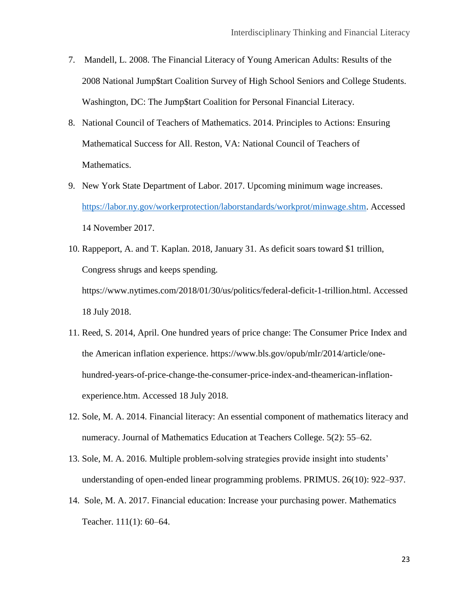- 7. Mandell, L. 2008. The Financial Literacy of Young American Adults: Results of the 2008 National Jump\$tart Coalition Survey of High School Seniors and College Students. Washington, DC: The Jump\$tart Coalition for Personal Financial Literacy.
- 8. National Council of Teachers of Mathematics. 2014. Principles to Actions: Ensuring Mathematical Success for All. Reston, VA: National Council of Teachers of Mathematics.
- 9. New York State Department of Labor. 2017. Upcoming minimum wage increases. [https://labor.ny.gov/workerprotection/laborstandards/workprot/minwage.shtm.](https://labor.ny.gov/workerprotection/laborstandards/workprot/minwage.shtm) Accessed 14 November 2017.
- 10. Rappeport, A. and T. Kaplan. 2018, January 31. As deficit soars toward \$1 trillion, Congress shrugs and keeps spending. https://www.nytimes.com/2018/01/30/us/politics/federal-deficit-1-trillion.html. Accessed 18 July 2018.
- 11. Reed, S. 2014, April. One hundred years of price change: The Consumer Price Index and the American inflation experience. https://www.bls.gov/opub/mlr/2014/article/onehundred-years-of-price-change-the-consumer-price-index-and-theamerican-inflationexperience.htm. Accessed 18 July 2018.
- 12. Sole, M. A. 2014. Financial literacy: An essential component of mathematics literacy and numeracy. Journal of Mathematics Education at Teachers College. 5(2): 55–62.
- 13. Sole, M. A. 2016. Multiple problem-solving strategies provide insight into students' understanding of open-ended linear programming problems. PRIMUS. 26(10): 922–937.
- 14. Sole, M. A. 2017. Financial education: Increase your purchasing power. Mathematics Teacher. 111(1): 60–64.